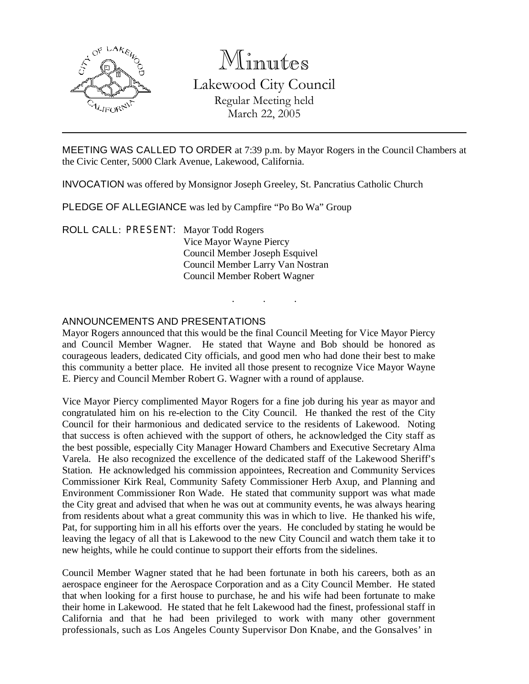

# Minutes

Lakewood City Council Regular Meeting held March 22, 2005

MEETING WAS CALLED TO ORDER at 7:39 p.m. by Mayor Rogers in the Council Chambers at the Civic Center, 5000 Clark Avenue, Lakewood, California.

INVOCATION was offered by Monsignor Joseph Greeley, St. Pancratius Catholic Church

PLEDGE OF ALLEGIANCE was led by Campfire "Po Bo Wa" Group

ROLL CALL: PRESENT: Mayor Todd Rogers Vice Mayor Wayne Piercy Council Member Joseph Esquivel Council Member Larry Van Nostran Council Member Robert Wagner

#### ANNOUNCEMENTS AND PRESENTATIONS

Mayor Rogers announced that this would be the final Council Meeting for Vice Mayor Piercy and Council Member Wagner. He stated that Wayne and Bob should be honored as courageous leaders, dedicated City officials, and good men who had done their best to make this community a better place. He invited all those present to recognize Vice Mayor Wayne E. Piercy and Council Member Robert G. Wagner with a round of applause.

. . .

Vice Mayor Piercy complimented Mayor Rogers for a fine job during his year as mayor and congratulated him on his re-election to the City Council. He thanked the rest of the City Council for their harmonious and dedicated service to the residents of Lakewood. Noting that success is often achieved with the support of others, he acknowledged the City staff as the best possible, especially City Manager Howard Chambers and Executive Secretary Alma Varela. He also recognized the excellence of the dedicated staff of the Lakewood Sheriff's Station. He acknowledged his commission appointees, Recreation and Community Services Commissioner Kirk Real, Community Safety Commissioner Herb Axup, and Planning and Environment Commissioner Ron Wade. He stated that community support was what made the City great and advised that when he was out at community events, he was always hearing from residents about what a great community this was in which to live. He thanked his wife, Pat, for supporting him in all his efforts over the years. He concluded by stating he would be leaving the legacy of all that is Lakewood to the new City Council and watch them take it to new heights, while he could continue to support their efforts from the sidelines.

Council Member Wagner stated that he had been fortunate in both his careers, both as an aerospace engineer for the Aerospace Corporation and as a City Council Member. He stated that when looking for a first house to purchase, he and his wife had been fortunate to make their home in Lakewood. He stated that he felt Lakewood had the finest, professional staff in California and that he had been privileged to work with many other government professionals, such as Los Angeles County Supervisor Don Knabe, and the Gonsalves' in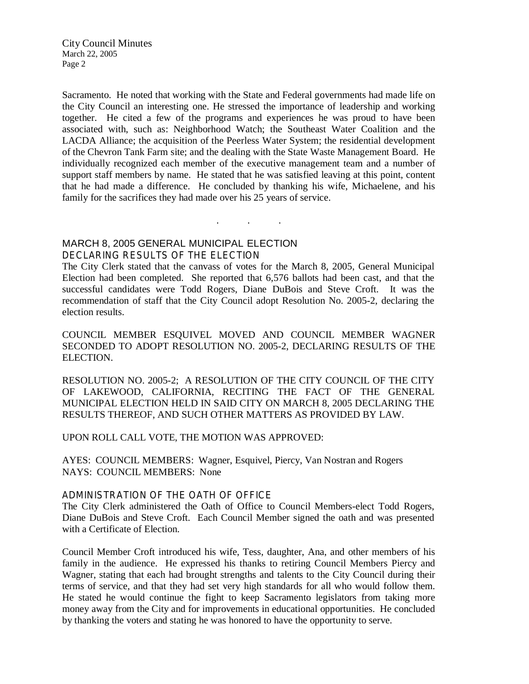Sacramento. He noted that working with the State and Federal governments had made life on the City Council an interesting one. He stressed the importance of leadership and working together. He cited a few of the programs and experiences he was proud to have been associated with, such as: Neighborhood Watch; the Southeast Water Coalition and the LACDA Alliance; the acquisition of the Peerless Water System; the residential development of the Chevron Tank Farm site; and the dealing with the State Waste Management Board. He individually recognized each member of the executive management team and a number of support staff members by name. He stated that he was satisfied leaving at this point, content that he had made a difference. He concluded by thanking his wife, Michaelene, and his family for the sacrifices they had made over his 25 years of service.

MARCH 8, 2005 GENERAL MUNICIPAL ELECTION

DECLARING RESULTS OF THE ELECTION

The City Clerk stated that the canvass of votes for the March 8, 2005, General Municipal Election had been completed. She reported that 6,576 ballots had been cast, and that the successful candidates were Todd Rogers, Diane DuBois and Steve Croft. It was the recommendation of staff that the City Council adopt Resolution No. 2005-2, declaring the election results.

. . .

COUNCIL MEMBER ESQUIVEL MOVED AND COUNCIL MEMBER WAGNER SECONDED TO ADOPT RESOLUTION NO. 2005-2, DECLARING RESULTS OF THE ELECTION.

RESOLUTION NO. 2005-2; A RESOLUTION OF THE CITY COUNCIL OF THE CITY OF LAKEWOOD, CALIFORNIA, RECITING THE FACT OF THE GENERAL MUNICIPAL ELECTION HELD IN SAID CITY ON MARCH 8, 2005 DECLARING THE RESULTS THEREOF, AND SUCH OTHER MATTERS AS PROVIDED BY LAW.

UPON ROLL CALL VOTE, THE MOTION WAS APPROVED:

AYES: COUNCIL MEMBERS: Wagner, Esquivel, Piercy, Van Nostran and Rogers NAYS: COUNCIL MEMBERS: None

## ADMINISTRATION OF THE OATH OF OFFICE

The City Clerk administered the Oath of Office to Council Members-elect Todd Rogers, Diane DuBois and Steve Croft. Each Council Member signed the oath and was presented with a Certificate of Election.

Council Member Croft introduced his wife, Tess, daughter, Ana, and other members of his family in the audience. He expressed his thanks to retiring Council Members Piercy and Wagner, stating that each had brought strengths and talents to the City Council during their terms of service, and that they had set very high standards for all who would follow them. He stated he would continue the fight to keep Sacramento legislators from taking more money away from the City and for improvements in educational opportunities. He concluded by thanking the voters and stating he was honored to have the opportunity to serve.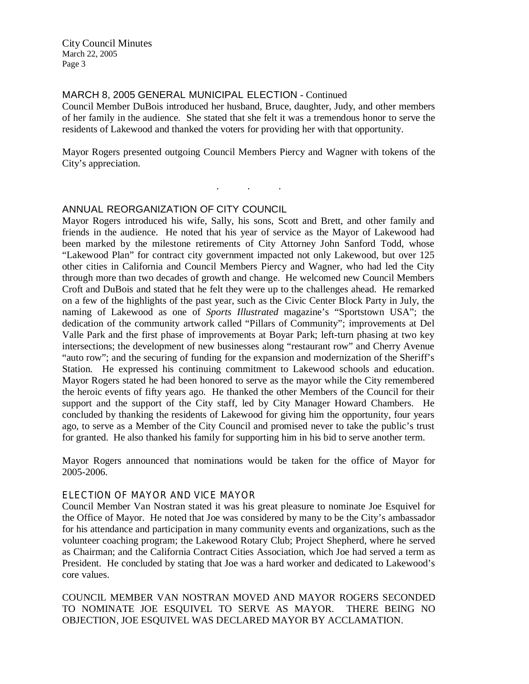#### MARCH 8, 2005 GENERAL MUNICIPAL ELECTION - Continued

Council Member DuBois introduced her husband, Bruce, daughter, Judy, and other members of her family in the audience. She stated that she felt it was a tremendous honor to serve the residents of Lakewood and thanked the voters for providing her with that opportunity.

Mayor Rogers presented outgoing Council Members Piercy and Wagner with tokens of the City's appreciation.

. . .

#### ANNUAL REORGANIZATION OF CITY COUNCIL

Mayor Rogers introduced his wife, Sally, his sons, Scott and Brett, and other family and friends in the audience. He noted that his year of service as the Mayor of Lakewood had been marked by the milestone retirements of City Attorney John Sanford Todd, whose "Lakewood Plan" for contract city government impacted not only Lakewood, but over 125 other cities in California and Council Members Piercy and Wagner, who had led the City through more than two decades of growth and change. He welcomed new Council Members Croft and DuBois and stated that he felt they were up to the challenges ahead. He remarked on a few of the highlights of the past year, such as the Civic Center Block Party in July, the naming of Lakewood as one of *Sports Illustrated* magazine's "Sportstown USA"; the dedication of the community artwork called "Pillars of Community"; improvements at Del Valle Park and the first phase of improvements at Boyar Park; left-turn phasing at two key intersections; the development of new businesses along "restaurant row" and Cherry Avenue "auto row"; and the securing of funding for the expansion and modernization of the Sheriff's Station. He expressed his continuing commitment to Lakewood schools and education. Mayor Rogers stated he had been honored to serve as the mayor while the City remembered the heroic events of fifty years ago. He thanked the other Members of the Council for their support and the support of the City staff, led by City Manager Howard Chambers. He concluded by thanking the residents of Lakewood for giving him the opportunity, four years ago, to serve as a Member of the City Council and promised never to take the public's trust for granted. He also thanked his family for supporting him in his bid to serve another term.

Mayor Rogers announced that nominations would be taken for the office of Mayor for 2005-2006.

#### ELECTION OF MAYOR AND VICE MAYOR

Council Member Van Nostran stated it was his great pleasure to nominate Joe Esquivel for the Office of Mayor. He noted that Joe was considered by many to be the City's ambassador for his attendance and participation in many community events and organizations, such as the volunteer coaching program; the Lakewood Rotary Club; Project Shepherd, where he served as Chairman; and the California Contract Cities Association, which Joe had served a term as President. He concluded by stating that Joe was a hard worker and dedicated to Lakewood's core values.

COUNCIL MEMBER VAN NOSTRAN MOVED AND MAYOR ROGERS SECONDED TO NOMINATE JOE ESQUIVEL TO SERVE AS MAYOR. THERE BEING NO OBJECTION, JOE ESQUIVEL WAS DECLARED MAYOR BY ACCLAMATION.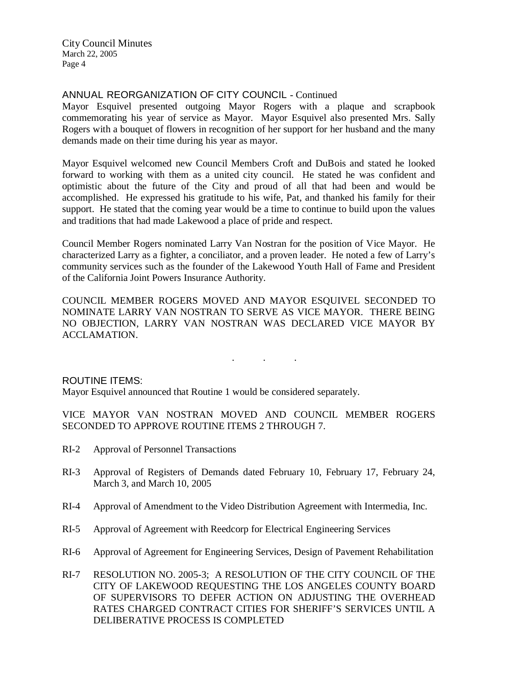## ANNUAL REORGANIZATION OF CITY COUNCIL - Continued

Mayor Esquivel presented outgoing Mayor Rogers with a plaque and scrapbook commemorating his year of service as Mayor. Mayor Esquivel also presented Mrs. Sally Rogers with a bouquet of flowers in recognition of her support for her husband and the many demands made on their time during his year as mayor.

Mayor Esquivel welcomed new Council Members Croft and DuBois and stated he looked forward to working with them as a united city council. He stated he was confident and optimistic about the future of the City and proud of all that had been and would be accomplished. He expressed his gratitude to his wife, Pat, and thanked his family for their support. He stated that the coming year would be a time to continue to build upon the values and traditions that had made Lakewood a place of pride and respect.

Council Member Rogers nominated Larry Van Nostran for the position of Vice Mayor. He characterized Larry as a fighter, a conciliator, and a proven leader. He noted a few of Larry's community services such as the founder of the Lakewood Youth Hall of Fame and President of the California Joint Powers Insurance Authority.

COUNCIL MEMBER ROGERS MOVED AND MAYOR ESQUIVEL SECONDED TO NOMINATE LARRY VAN NOSTRAN TO SERVE AS VICE MAYOR. THERE BEING NO OBJECTION, LARRY VAN NOSTRAN WAS DECLARED VICE MAYOR BY ACCLAMATION.

. . .

ROUTINE ITEMS:

Mayor Esquivel announced that Routine 1 would be considered separately.

VICE MAYOR VAN NOSTRAN MOVED AND COUNCIL MEMBER ROGERS SECONDED TO APPROVE ROUTINE ITEMS 2 THROUGH 7.

- RI-2 Approval of Personnel Transactions
- RI-3 Approval of Registers of Demands dated February 10, February 17, February 24, March 3, and March 10, 2005
- RI-4 Approval of Amendment to the Video Distribution Agreement with Intermedia, Inc.
- RI-5 Approval of Agreement with Reedcorp for Electrical Engineering Services
- RI-6 Approval of Agreement for Engineering Services, Design of Pavement Rehabilitation
- RI-7 RESOLUTION NO. 2005-3; A RESOLUTION OF THE CITY COUNCIL OF THE CITY OF LAKEWOOD REQUESTING THE LOS ANGELES COUNTY BOARD OF SUPERVISORS TO DEFER ACTION ON ADJUSTING THE OVERHEAD RATES CHARGED CONTRACT CITIES FOR SHERIFF'S SERVICES UNTIL A DELIBERATIVE PROCESS IS COMPLETED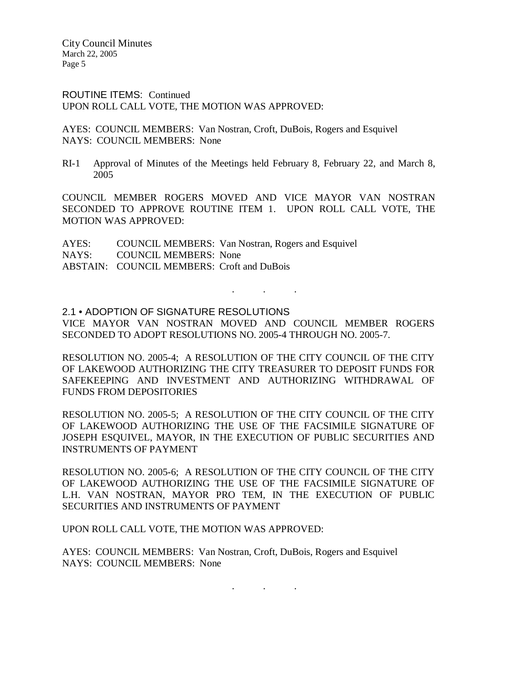ROUTINE ITEMS: Continued UPON ROLL CALL VOTE, THE MOTION WAS APPROVED:

AYES: COUNCIL MEMBERS: Van Nostran, Croft, DuBois, Rogers and Esquivel NAYS: COUNCIL MEMBERS: None

RI-1 Approval of Minutes of the Meetings held February 8, February 22, and March 8, 2005

COUNCIL MEMBER ROGERS MOVED AND VICE MAYOR VAN NOSTRAN SECONDED TO APPROVE ROUTINE ITEM 1. UPON ROLL CALL VOTE, THE MOTION WAS APPROVED:

AYES: COUNCIL MEMBERS: Van Nostran, Rogers and Esquivel NAYS: COUNCIL MEMBERS: None ABSTAIN: COUNCIL MEMBERS: Croft and DuBois

#### 2.1 • ADOPTION OF SIGNATURE RESOLUTIONS

VICE MAYOR VAN NOSTRAN MOVED AND COUNCIL MEMBER ROGERS SECONDED TO ADOPT RESOLUTIONS NO. 2005-4 THROUGH NO. 2005-7.

. . .

RESOLUTION NO. 2005-4; A RESOLUTION OF THE CITY COUNCIL OF THE CITY OF LAKEWOOD AUTHORIZING THE CITY TREASURER TO DEPOSIT FUNDS FOR SAFEKEEPING AND INVESTMENT AND AUTHORIZING WITHDRAWAL OF FUNDS FROM DEPOSITORIES

RESOLUTION NO. 2005-5; A RESOLUTION OF THE CITY COUNCIL OF THE CITY OF LAKEWOOD AUTHORIZING THE USE OF THE FACSIMILE SIGNATURE OF JOSEPH ESQUIVEL, MAYOR, IN THE EXECUTION OF PUBLIC SECURITIES AND INSTRUMENTS OF PAYMENT

RESOLUTION NO. 2005-6; A RESOLUTION OF THE CITY COUNCIL OF THE CITY OF LAKEWOOD AUTHORIZING THE USE OF THE FACSIMILE SIGNATURE OF L.H. VAN NOSTRAN, MAYOR PRO TEM, IN THE EXECUTION OF PUBLIC SECURITIES AND INSTRUMENTS OF PAYMENT

UPON ROLL CALL VOTE, THE MOTION WAS APPROVED:

AYES: COUNCIL MEMBERS: Van Nostran, Croft, DuBois, Rogers and Esquivel NAYS: COUNCIL MEMBERS: None

. . .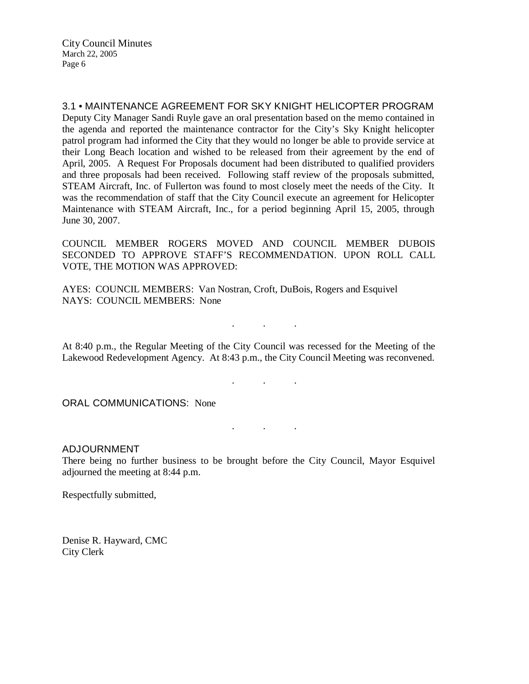3.1 • MAINTENANCE AGREEMENT FOR SKY KNIGHT HELICOPTER PROGRAM Deputy City Manager Sandi Ruyle gave an oral presentation based on the memo contained in the agenda and reported the maintenance contractor for the City's Sky Knight helicopter patrol program had informed the City that they would no longer be able to provide service at their Long Beach location and wished to be released from their agreement by the end of April, 2005. A Request For Proposals document had been distributed to qualified providers and three proposals had been received. Following staff review of the proposals submitted, STEAM Aircraft, Inc. of Fullerton was found to most closely meet the needs of the City. It was the recommendation of staff that the City Council execute an agreement for Helicopter Maintenance with STEAM Aircraft, Inc., for a period beginning April 15, 2005, through June 30, 2007.

COUNCIL MEMBER ROGERS MOVED AND COUNCIL MEMBER DUBOIS SECONDED TO APPROVE STAFF'S RECOMMENDATION. UPON ROLL CALL VOTE, THE MOTION WAS APPROVED:

AYES: COUNCIL MEMBERS: Van Nostran, Croft, DuBois, Rogers and Esquivel NAYS: COUNCIL MEMBERS: None

At 8:40 p.m., the Regular Meeting of the City Council was recessed for the Meeting of the Lakewood Redevelopment Agency. At 8:43 p.m., the City Council Meeting was reconvened.

. . .

. . .

. . .

ORAL COMMUNICATIONS: None

#### ADJOURNMENT

There being no further business to be brought before the City Council, Mayor Esquivel adjourned the meeting at 8:44 p.m.

Respectfully submitted,

Denise R. Hayward, CMC City Clerk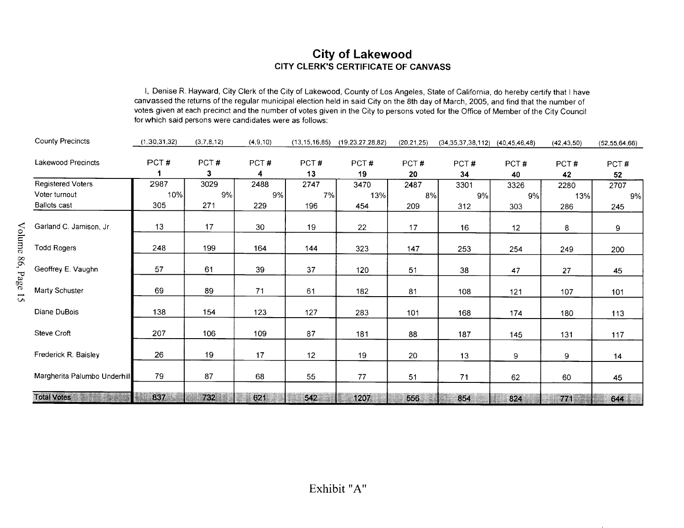# City of Lakewood CITY CLERK'S **City of Lakewood<br>CLERK'S CERTIFICATE OF CANVASS**

I, Denise R. Hayward, City Clerk of the City of Lakewood, County of Los Angeles, State of California, do hereby certify that I have canvassed the returns of the regular municipal election held in said City on the 8th day of March, 2005, and find that the number of votes given at each precinct and the number of votes given in the City to persons voted for the Office of Member of the City Council<br>
for which said persons were candidates were as follows:<br>
(1,30,31,32) (3,7,8,12) (4,9,10

|                                                 | for which said persons were candidates were as follows: |            |            |                  |                      |              | i, Denise is riayward, Ony Olerk of the Ony of Lakewood, County of Los Angeles, State of California, do hereby certify that I have<br>canvassed the returns of the regular municipal election held in said City on the 8th day of March, 2005, and find that the number of<br>votes given at each precinct and the number of votes given in the City to persons voted for the Office of Member of the City Council |            |              |                  |
|-------------------------------------------------|---------------------------------------------------------|------------|------------|------------------|----------------------|--------------|--------------------------------------------------------------------------------------------------------------------------------------------------------------------------------------------------------------------------------------------------------------------------------------------------------------------------------------------------------------------------------------------------------------------|------------|--------------|------------------|
| <b>County Precincts</b>                         | (1, 30, 31, 32)                                         | (3,7,8,12) | (4, 9, 10) | (13, 15, 16, 85) | (19, 23, 27, 28, 82) | (20, 21, 25) | $(34,35,37,38,112)$ $(40,45,46,48)$                                                                                                                                                                                                                                                                                                                                                                                |            | (42, 43, 50) | (52, 55, 64, 66) |
| <b>Lakewood Precincts</b>                       | PCT#                                                    | PCT#<br>3  | PCT#<br>4  | PCT#<br>13       | PCT#<br>19           | PCT#<br>20   | PCT#<br>34                                                                                                                                                                                                                                                                                                                                                                                                         | PCT#<br>40 | PCT#<br>42   | PCT#<br>52       |
| <b>Registered Voters</b>                        | 2987                                                    | 3029       | 2488       | 2747             | 3470                 | 2487         | 3301                                                                                                                                                                                                                                                                                                                                                                                                               | 3326       | 2280         | 2707             |
| Voter turnout<br><b>Ballots cast</b>            | 10%<br>305                                              | 9%<br>271  | 9%<br>229  | 7%<br>196        | 13%<br>454           | 8%<br>209    | 9%<br>312                                                                                                                                                                                                                                                                                                                                                                                                          | 9%<br>303  | 13%<br>286   | 9%<br>245        |
| Garland C. Jamison, Jr.                         | 13                                                      | 17         | 30         | 19               | 22                   | 17           | 16                                                                                                                                                                                                                                                                                                                                                                                                                 | 12         | 8            | 9                |
| $\rm V$ olume<br><b>Todd Rogers</b><br>86. Page | 248                                                     | 199        | 164        | 144              | 323                  | 147          | 253                                                                                                                                                                                                                                                                                                                                                                                                                | 254        | 249          | 200              |
| Geoffrey E. Vaughn                              | 57                                                      | 61         | 39         | 37               | 120                  | 51           | 38                                                                                                                                                                                                                                                                                                                                                                                                                 | 47         | 27           | 45               |
| Marty Schuster                                  | 69                                                      | 89         | 71         | 61               | 182                  | 81           | 108                                                                                                                                                                                                                                                                                                                                                                                                                | 121        | 107          | 101              |
| Diane DuBois                                    | 138                                                     | 154        | 123        | 127              | 283                  | 101          | 168                                                                                                                                                                                                                                                                                                                                                                                                                | 174        | 180          | 113              |
| Steve Croft                                     | 207                                                     | 106        | 109        | 87               | 181                  | 88           | 187                                                                                                                                                                                                                                                                                                                                                                                                                | 145        | 131          | 117              |
| Frederick R. Baisley                            | 26                                                      | 19         | 17         | 12               | 19                   | 20           | 13                                                                                                                                                                                                                                                                                                                                                                                                                 | 9          | 9            | 14               |
| Margherita Palumbo Underhill                    | 79                                                      | 87         | 68         | 55               | 77                   | 51           | 71                                                                                                                                                                                                                                                                                                                                                                                                                 | 62         | 60           | 45               |
| <b>Total Votes</b>                              | 837                                                     | 732        | 621        | 542              | 1207                 | 556          | 854                                                                                                                                                                                                                                                                                                                                                                                                                | 824        | 771          | 644              |